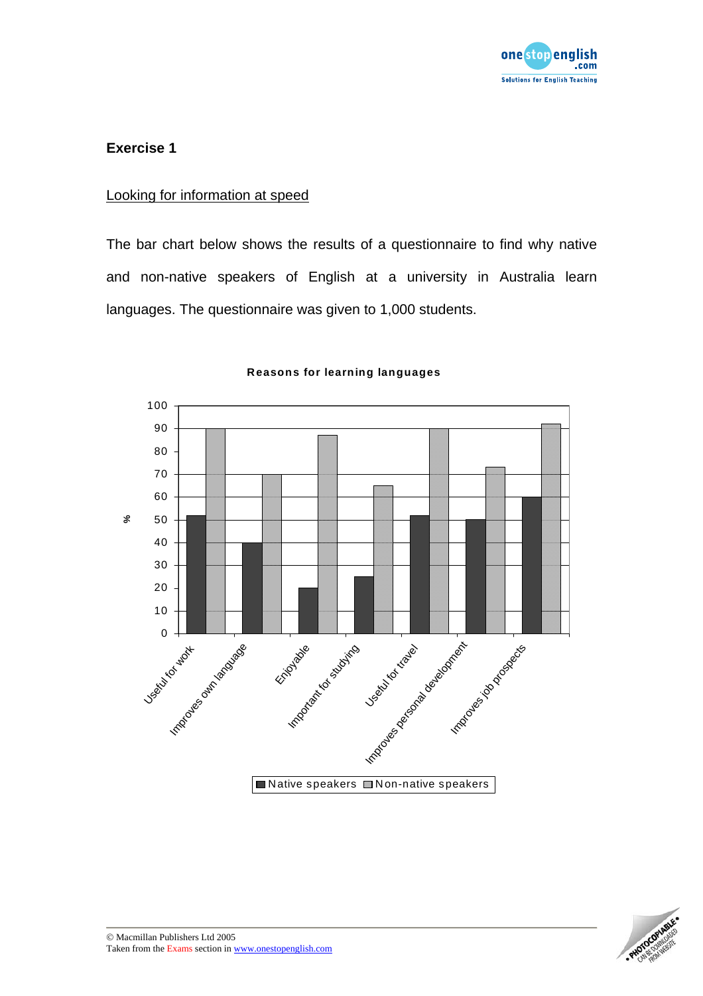

#### Looking for information at speed

The bar chart below shows the results of a questionnaire to find why native and non-native speakers of English at a university in Australia learn languages. The questionnaire was given to 1,000 students.



#### **Reasons for learning languages**

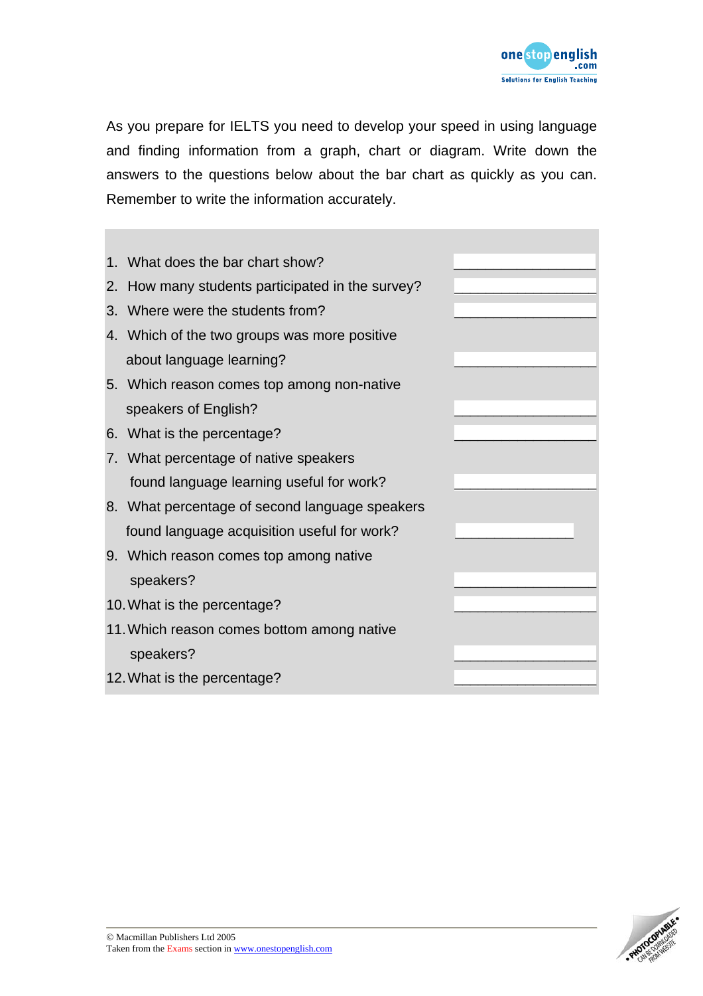

As you prepare for IELTS you need to develop your speed in using language and finding information from a graph, chart or diagram. Write down the answers to the questions below about the bar chart as quickly as you can. Remember to write the information accurately.



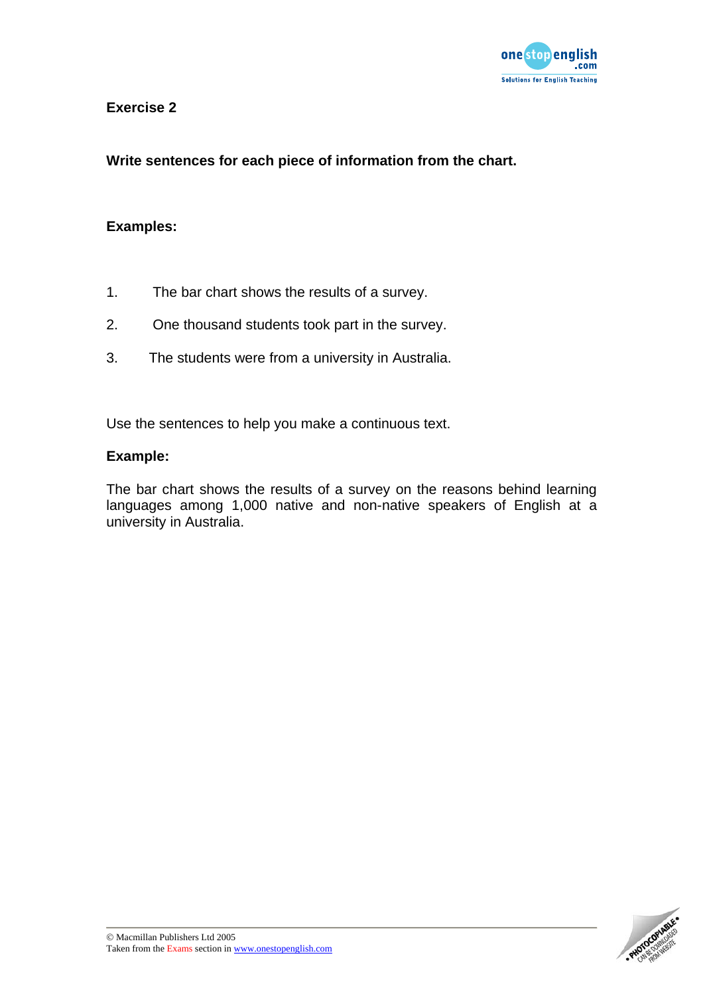

**Write sentences for each piece of information from the chart.** 

### **Examples:**

- 1. The bar chart shows the results of a survey.
- 2. One thousand students took part in the survey.
- 3. The students were from a university in Australia.

Use the sentences to help you make a continuous text.

#### **Example:**

The bar chart shows the results of a survey on the reasons behind learning languages among 1,000 native and non-native speakers of English at a university in Australia.

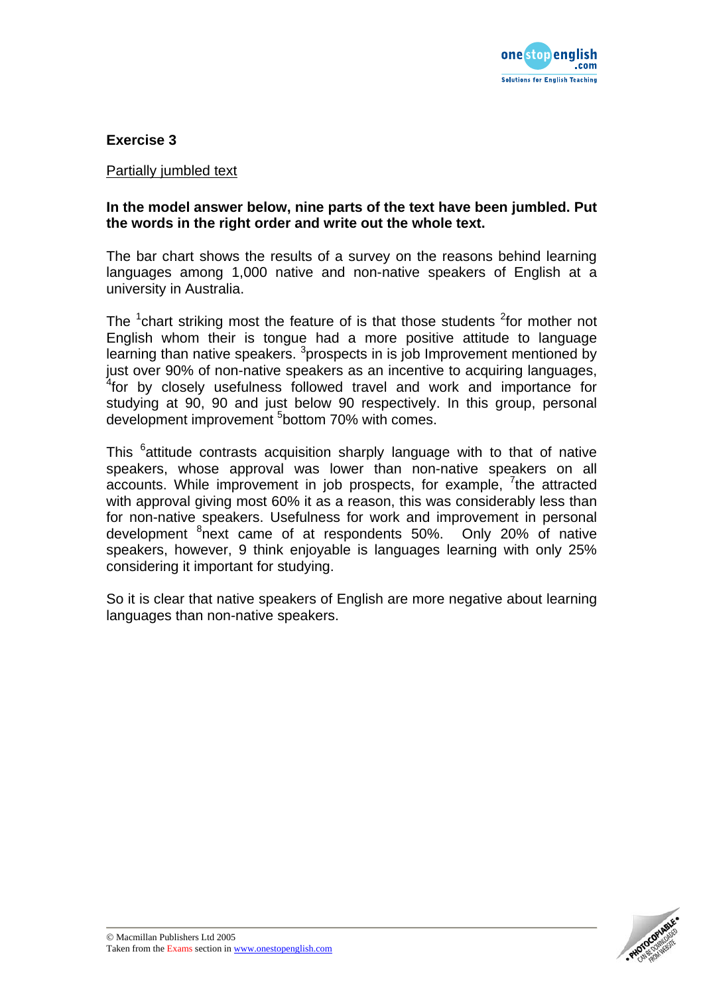

#### Partially jumbled text

#### **In the model answer below, nine parts of the text have been jumbled. Put the words in the right order and write out the whole text.**

The bar chart shows the results of a survey on the reasons behind learning languages among 1,000 native and non-native speakers of English at a university in Australia.

The  $1$ chart striking most the feature of is that those students  $2$  for mother not English whom their is tongue had a more positive attitude to language learning than native speakers. <sup>3</sup>prospects in is job Improvement mentioned by just over 90% of non-native speakers as an incentive to acquiring languages, <sup>4</sup> for by closely usefulness followed travel and work and importance for studying at 90, 90 and just below 90 respectively. In this group, personal development improvement <sup>5</sup>bottom 70% with comes.

This <sup>6</sup>attitude contrasts acquisition sharply language with to that of native speakers, whose approval was lower than non-native speakers on all accounts. While improvement in job prospects, for example, <sup>7</sup>the attracted with approval giving most 60% it as a reason, this was considerably less than for non-native speakers. Usefulness for work and improvement in personal development <sup>8</sup>next came of at respondents 50%. Only 20% of native speakers, however, 9 think enjoyable is languages learning with only 25% considering it important for studying.

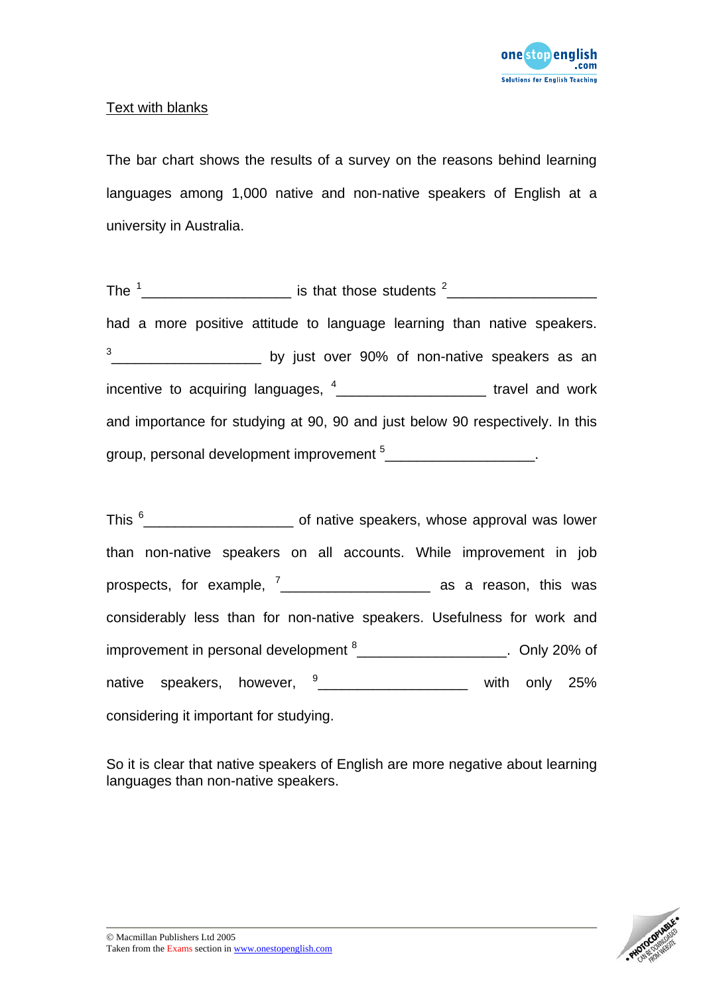

## Text with blanks

The bar chart shows the results of a survey on the reasons behind learning languages among 1,000 native and non-native speakers of English at a university in Australia.

The  $\frac{1}{2}$  merges is that those students  $\frac{2}{2}$  merges in the  $\frac{1}{2}$  merges of  $\frac{1}{2}$  merges  $\frac{1}{2}$  merges of  $\frac{1}{2}$  merges of  $\frac{1}{2}$  merges of  $\frac{1}{2}$  merges of  $\frac{1}{2}$  merges of  $\frac{1}{2}$  merges had a more positive attitude to language learning than native speakers.  $\frac{3}{2}$  \_\_\_\_\_\_\_\_\_\_\_\_\_\_\_\_\_\_\_\_\_\_\_\_\_ by just over 90% of non-native speakers as an incentive to acquiring languages,  $4$   $\frac{4}{2}$   $\frac{1}{2}$   $\frac{1}{2}$   $\frac{1}{2}$   $\frac{1}{2}$   $\frac{1}{2}$   $\frac{1}{2}$   $\frac{1}{2}$   $\frac{1}{2}$   $\frac{1}{2}$   $\frac{1}{2}$   $\frac{1}{2}$   $\frac{1}{2}$   $\frac{1}{2}$   $\frac{1}{2}$   $\frac{1}{2}$   $\frac{1}{2}$   $\frac{1}{2}$   $\frac$ and importance for studying at 90, 90 and just below 90 respectively. In this group, personal development improvement  $5$ \_\_\_\_\_\_\_\_\_\_\_\_\_\_\_\_\_\_\_\_\_\_\_.

This  $^6$ \_\_\_\_\_\_\_\_\_\_\_\_\_\_\_\_\_\_\_\_\_\_\_\_\_\_\_\_\_\_\_\_ of native speakers, whose approval was lower than non-native speakers on all accounts. While improvement in job prospects, for example, <sup>7</sup> \_\_\_\_\_\_\_\_\_\_\_\_\_\_\_\_\_\_\_ as a reason, this was considerably less than for non-native speakers. Usefulness for work and improvement in personal development  $^8$ <sup>200</sup> metal and the Unit 20% of native speakers, however,  $\frac{9}{2}$  \_\_\_\_\_\_\_\_\_\_\_\_\_\_\_\_\_\_\_\_\_\_ with only 25% considering it important for studying.

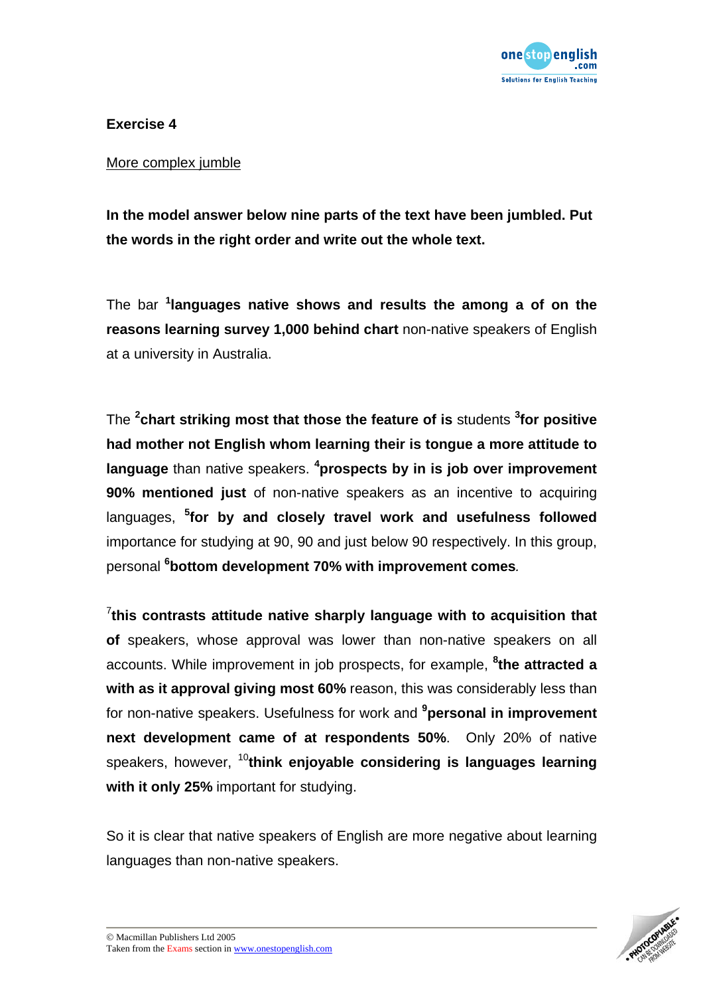

#### More complex jumble

**In the model answer below nine parts of the text have been jumbled. Put the words in the right order and write out the whole text.** 

The bar **<sup>1</sup> languages native shows and results the among a of on the reasons learning survey 1,000 behind chart** non-native speakers of English at a university in Australia.

The **<sup>2</sup> chart striking most that those the feature of is** students **<sup>3</sup> for positive had mother not English whom learning their is tongue a more attitude to language** than native speakers. **<sup>4</sup> prospects by in is job over improvement 90% mentioned just** of non-native speakers as an incentive to acquiring languages, **<sup>5</sup> for by and closely travel work and usefulness followed**  importance for studying at 90, 90 and just below 90 respectively. In this group, personal **<sup>6</sup> bottom development 70% with improvement comes***.*

7 **this contrasts attitude native sharply language with to acquisition that of** speakers, whose approval was lower than non-native speakers on all accounts. While improvement in job prospects, for example, **<sup>8</sup> the attracted a with as it approval giving most 60%** reason, this was considerably less than for non-native speakers. Usefulness for work and **<sup>9</sup> personal in improvement next development came of at respondents 50%**. Only 20% of native speakers, however, <sup>10</sup>**think enjoyable considering is languages learning with it only 25%** important for studying.

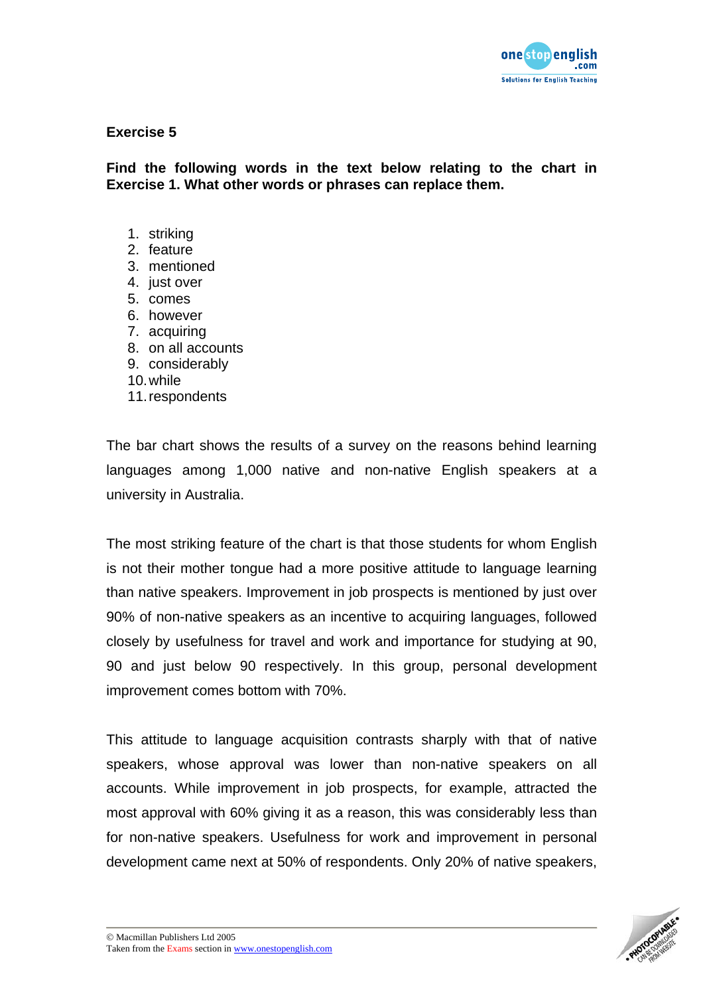

**Find the following words in the text below relating to the chart in Exercise 1. What other words or phrases can replace them.** 

- 1. striking
- 2. feature
- 3. mentioned
- 4. just over
- 5. comes
- 6. however
- 7. acquiring
- 8. on all accounts
- 9. considerably
- 10. while
- 11. respondents

The bar chart shows the results of a survey on the reasons behind learning languages among 1,000 native and non-native English speakers at a university in Australia.

The most striking feature of the chart is that those students for whom English is not their mother tongue had a more positive attitude to language learning than native speakers. Improvement in job prospects is mentioned by just over 90% of non-native speakers as an incentive to acquiring languages, followed closely by usefulness for travel and work and importance for studying at 90, 90 and just below 90 respectively. In this group, personal development improvement comes bottom with 70%.

This attitude to language acquisition contrasts sharply with that of native speakers, whose approval was lower than non-native speakers on all accounts. While improvement in job prospects, for example, attracted the most approval with 60% giving it as a reason, this was considerably less than for non-native speakers. Usefulness for work and improvement in personal development came next at 50% of respondents. Only 20% of native speakers,

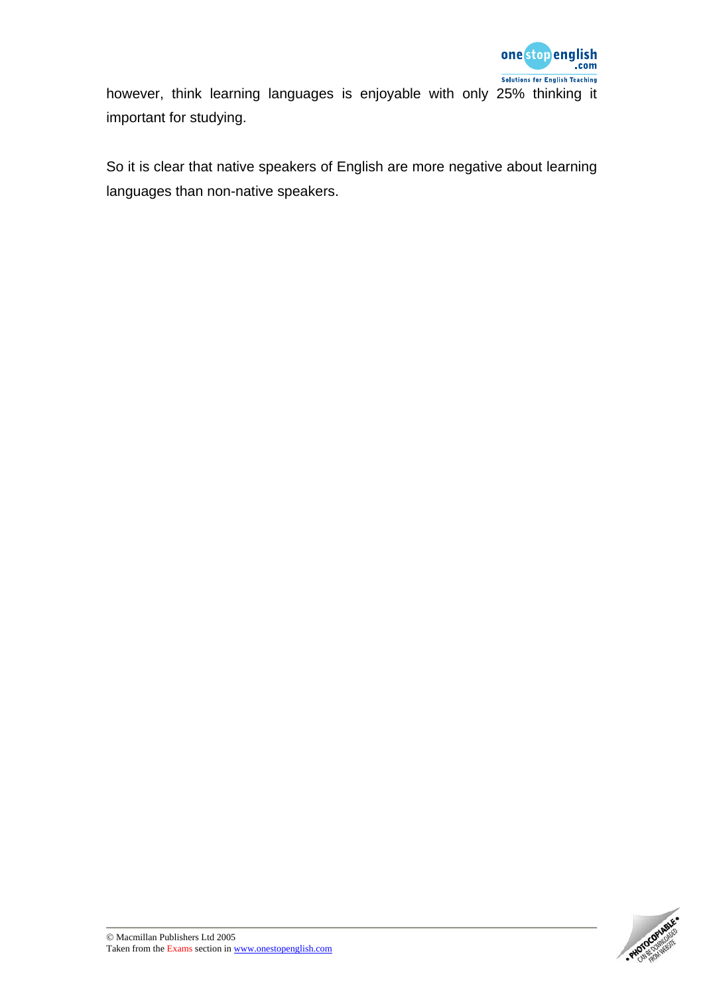

however, think learning languages is enjoyable with only 25% thinking it important for studying.

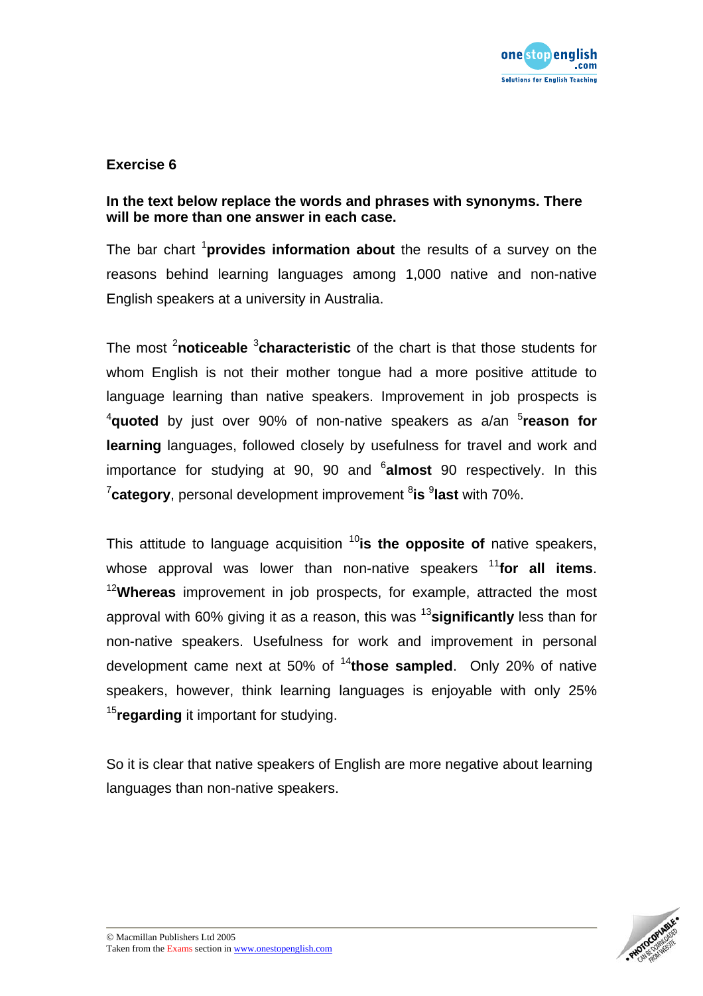

## **In the text below replace the words and phrases with synonyms. There will be more than one answer in each case.**

The bar chart <sup>1</sup>**provides information about** the results of a survey on the reasons behind learning languages among 1,000 native and non-native English speakers at a university in Australia.

The most <sup>2</sup>noticeable <sup>3</sup>characteristic of the chart is that those students for whom English is not their mother tongue had a more positive attitude to language learning than native speakers. Improvement in job prospects is <sup>4</sup>quoted by just over 90% of non-native speakers as a/an <sup>5</sup>reason for **learning** languages, followed closely by usefulness for travel and work and importance for studying at 90, 90 and <sup>6</sup>almost 90 respectively. In this <sup>7</sup>category, personal development improvement <sup>8</sup>is <sup>9</sup>last with 70%.

This attitude to language acquisition <sup>10</sup>is the opposite of native speakers, whose approval was lower than non-native speakers <sup>11</sup> for all items. <sup>12</sup>**Whereas** improvement in job prospects, for example, attracted the most approval with 60% giving it as a reason, this was <sup>13</sup>**significantly** less than for non-native speakers. Usefulness for work and improvement in personal development came next at 50% of <sup>14</sup>**those sampled**. Only 20% of native speakers, however, think learning languages is enjoyable with only 25% <sup>15</sup>**regarding** it important for studying.

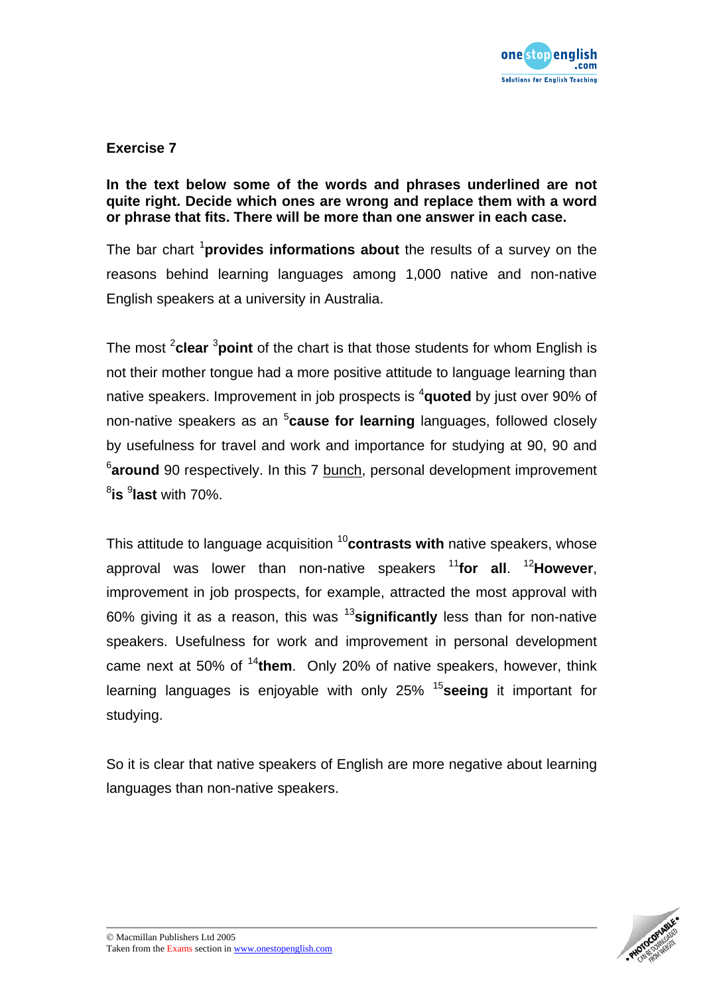

### **In the text below some of the words and phrases underlined are not quite right. Decide which ones are wrong and replace them with a word or phrase that fits. There will be more than one answer in each case.**

The bar chart <sup>1</sup> provides informations about the results of a survey on the reasons behind learning languages among 1,000 native and non-native English speakers at a university in Australia.

The most <sup>2</sup>clear <sup>3</sup>point of the chart is that those students for whom English is not their mother tongue had a more positive attitude to language learning than native speakers. Improvement in job prospects is <sup>4</sup>quoted by just over 90% of non-native speakers as an <sup>5</sup>cause for learning languages, followed closely by usefulness for travel and work and importance for studying at 90, 90 and <sup>6</sup>around 90 respectively. In this 7 bunch, personal development improvement 8 **is** <sup>9</sup> **last** with 70%.

This attitude to language acquisition <sup>10</sup>contrasts with native speakers, whose approval was lower than non-native speakers <sup>11</sup>**for all**. <sup>12</sup>**However**, improvement in job prospects, for example, attracted the most approval with 60% giving it as a reason, this was <sup>13</sup>**significantly** less than for non-native speakers. Usefulness for work and improvement in personal development came next at 50% of <sup>14</sup>**them**. Only 20% of native speakers, however, think learning languages is enjoyable with only 25% <sup>15</sup>**seeing** it important for studying.

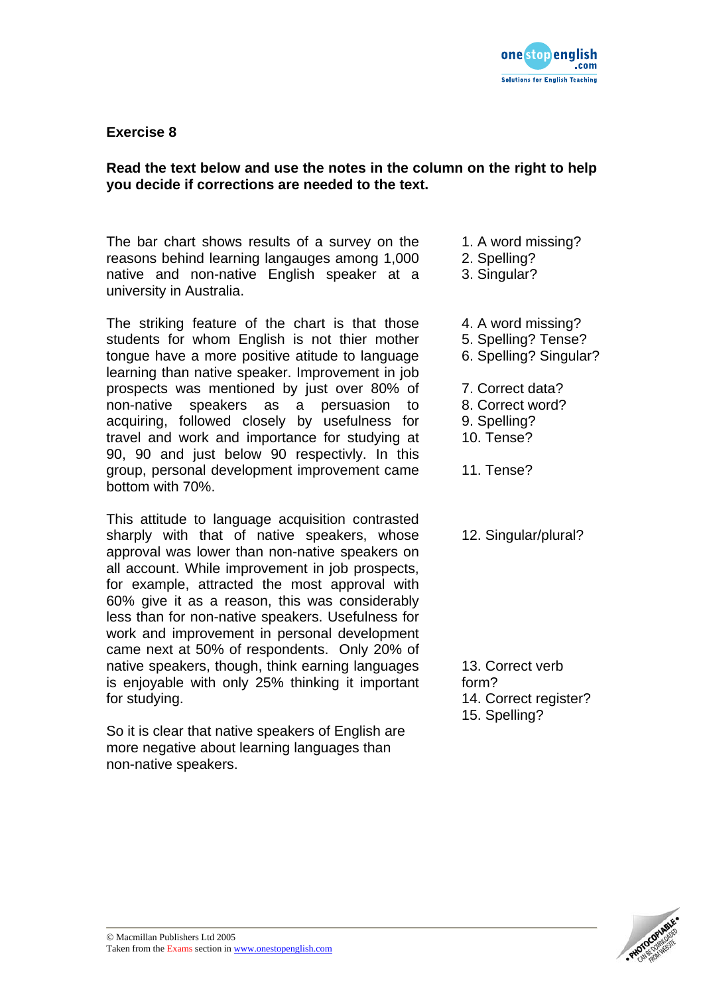

## **Read the text below and use the notes in the column on the right to help you decide if corrections are needed to the text.**

The bar chart shows results of a survey on the reasons behind learning langauges among 1,000 native and non-native English speaker at a university in Australia.

The striking feature of the chart is that those students for whom English is not thier mother tongue have a more positive atitude to language learning than native speaker. Improvement in job prospects was mentioned by just over 80% of non-native speakers as a persuasion to acquiring, followed closely by usefulness for travel and work and importance for studying at 90, 90 and just below 90 respectivly. In this group, personal development improvement came bottom with 70%.

This attitude to language acquisition contrasted sharply with that of native speakers, whose approval was lower than non-native speakers on all account. While improvement in job prospects, for example, attracted the most approval with 60% give it as a reason, this was considerably less than for non-native speakers. Usefulness for work and improvement in personal development came next at 50% of respondents. Only 20% of native speakers, though, think earning languages is enjoyable with only 25% thinking it important for studying.

So it is clear that native speakers of English are more negative about learning languages than non-native speakers.

- 1. A word missing?
- 2. Spelling?
- 3. Singular?
- 4. A word missing?
- 5. Spelling? Tense?
- 6. Spelling? Singular?
- 7. Correct data?
- 8. Correct word?
- 9. Spelling?
- 10. Tense?

11. Tense?

12. Singular/plural?

13. Correct verb form? 14. Correct register? 15. Spelling?

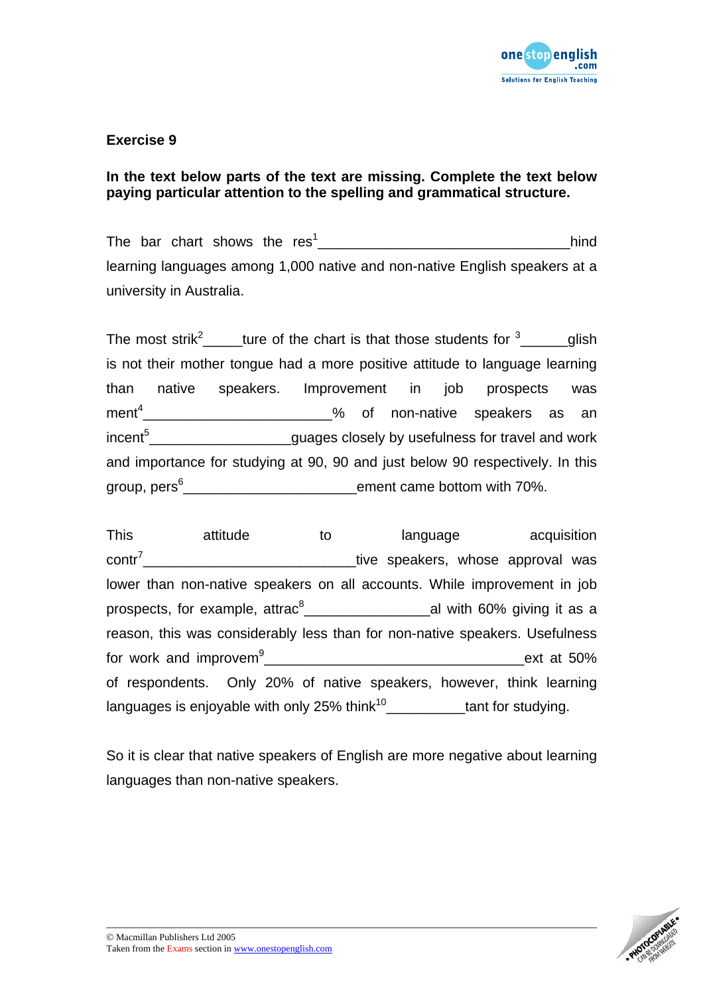

## **In the text below parts of the text are missing. Complete the text below paying particular attention to the spelling and grammatical structure.**

The bar chart shows the res1 \_\_\_\_\_\_\_\_\_\_\_\_\_\_\_\_\_\_\_\_\_\_\_\_\_\_\_\_\_\_\_\_hind learning languages among 1,000 native and non-native English speakers at a university in Australia.

The most strik<sup>2</sup>  $\mu$  ture of the chart is that those students for  $\frac{3}{2}$  glish is not their mother tongue had a more positive attitude to language learning than native speakers. Improvement in job prospects was  $\mathsf{ment^4}\_\_\_\_\_\_\_\_\_\_\_\_\_\_\_\_\_\_$ incent<sup>5</sup>\_\_\_\_\_\_\_\_\_\_\_\_\_\_\_\_\_\_\_\_\_guages closely by usefulness for travel and work and importance for studying at 90, 90 and just below 90 respectively. In this group, pers<sup>6</sup>\_\_\_\_\_\_\_\_\_\_\_\_\_\_\_\_\_\_\_\_\_\_\_\_\_\_\_ement came bottom with 70%.

This attitude to language acquisition  $\text{contr}^7$  entr<sup>7</sup> and the speakers, whose approval was lower than non-native speakers on all accounts. While improvement in job prospects, for example, attrac $^8$ \_\_\_\_\_\_\_\_\_\_\_\_\_\_\_\_\_\_\_\_\_\_\_\_\_\_\_\_\_\_\_al with 60% giving it as a reason, this was considerably less than for non-native speakers. Usefulness for work and improvem<sup>9</sup> \_\_\_\_\_\_\_\_\_\_\_\_\_\_\_\_\_\_\_\_\_\_\_\_\_\_\_\_\_\_\_\_\_ext at 50% of respondents. Only 20% of native speakers, however, think learning languages is enjoyable with only 25% think<sup>10</sup>  $t$  tant for studying.

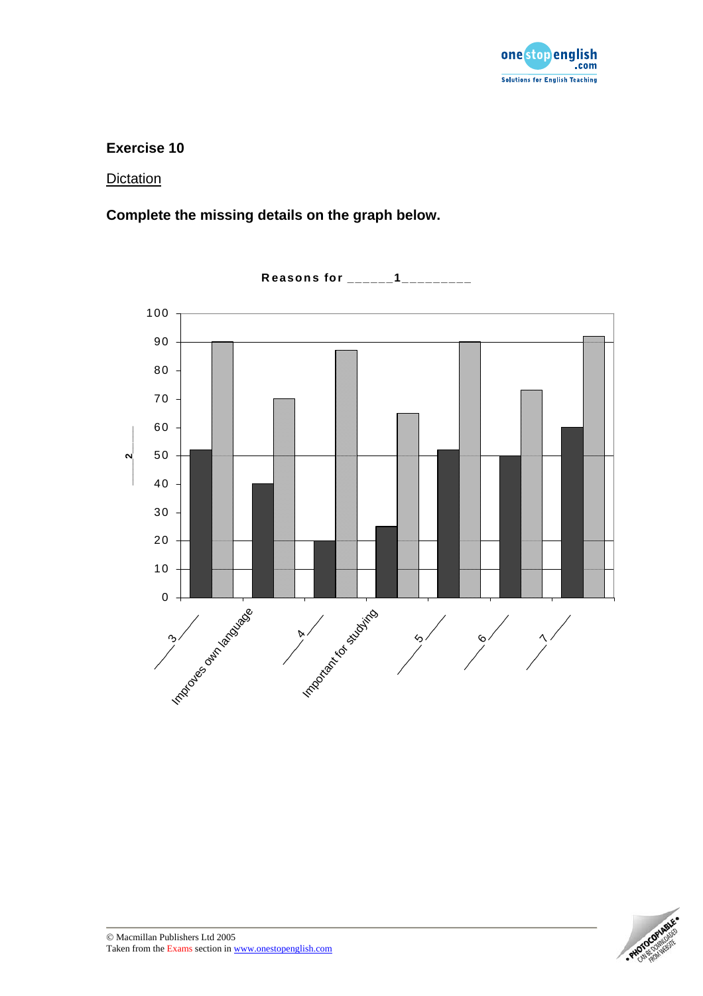

#### **Dictation**

**Complete the missing details on the graph below.** 



**Reasons for \_\_\_\_\_\_1\_\_\_\_\_\_\_\_\_**

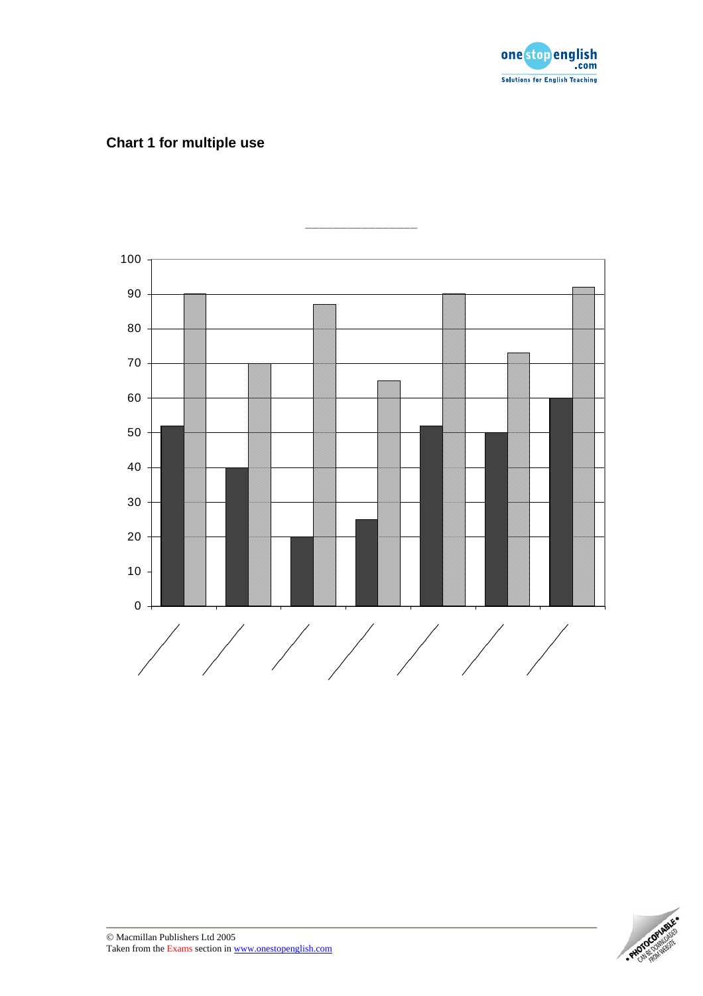

## **Chart 1 for multiple use**



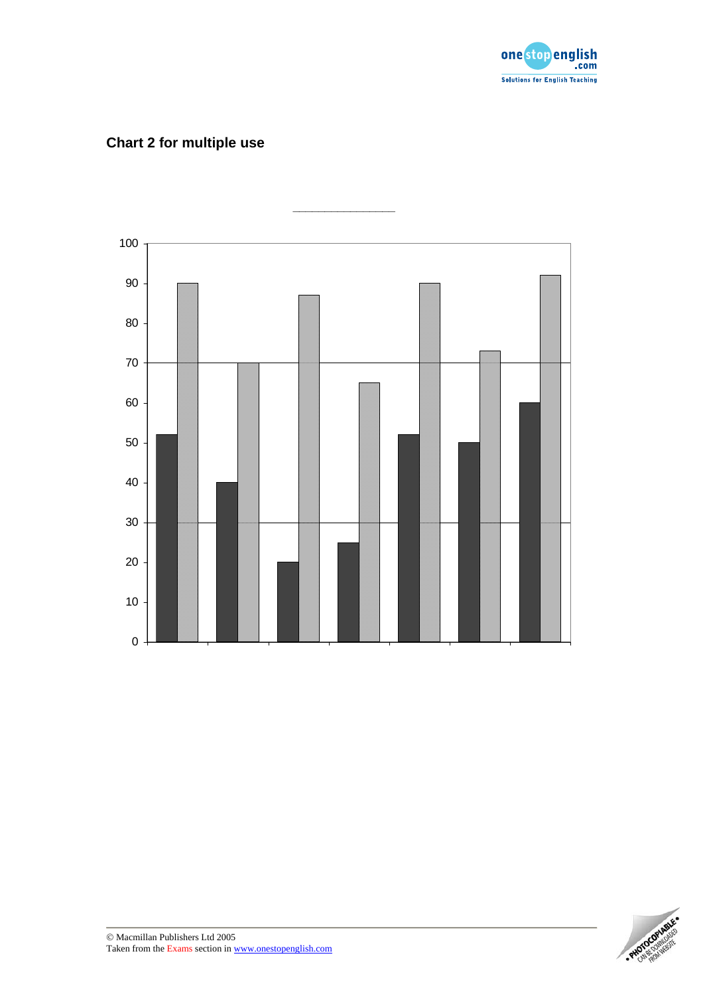

# **Chart 2 for multiple use**



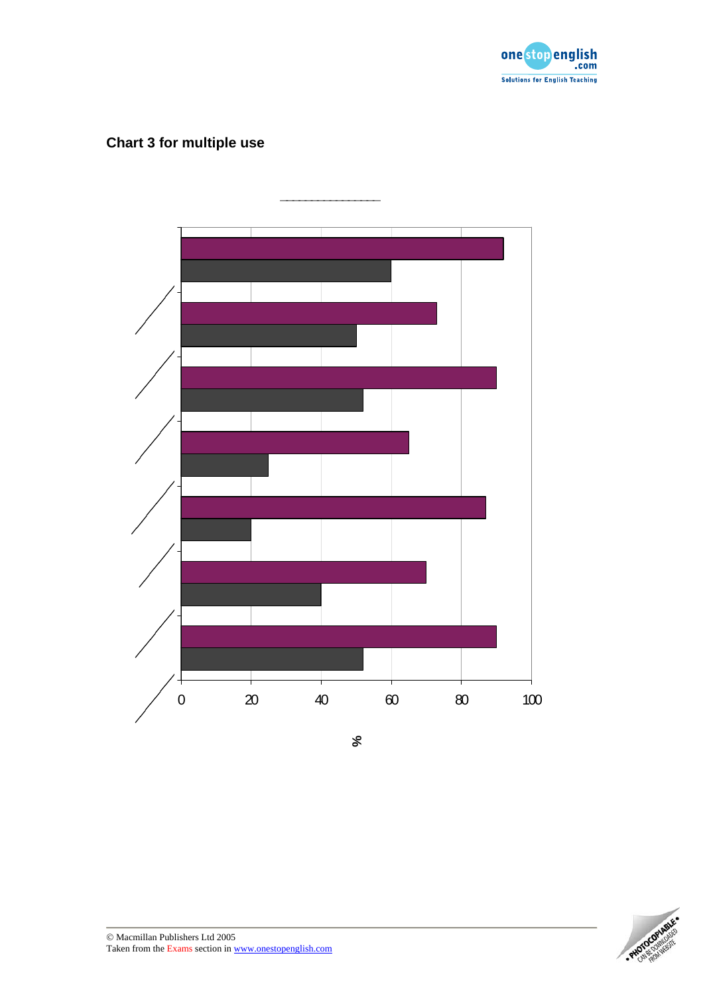

# **Chart 3 for multiple use**



**\_\_\_\_\_\_\_\_\_\_\_\_\_\_\_\_**

**%**